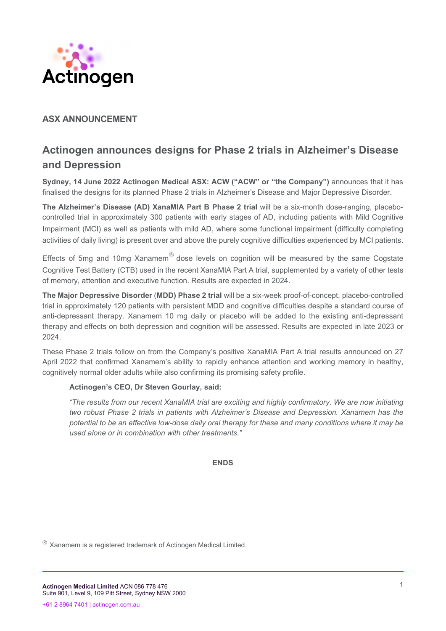

# ASX ANNOUNCEMENT

# Actinogen announces designs for Phase 2 trials in Alzheimer's Disease and Depression

Sydney, 14 June 2022 Actinogen Medical ASX: ACW ("ACW" or "the Company") announces that it has finalised the designs for its planned Phase 2 trials in Alzheimer's Disease and Major Depressive Disorder.

The Alzheimer's Disease (AD) XanaMIA Part B Phase 2 trial will be a six-month dose-ranging, placebocontrolled trial in approximately 300 patients with early stages of AD, including patients with Mild Cognitive Impairment (MCI) as well as patients with mild AD, where some functional impairment (difficulty completing activities of daily living) is present over and above the purely cognitive difficulties experienced by MCI patients.

Effects of 5mg and 10mg Xanamem $^{\circledR}$  dose levels on cognition will be measured by the same Cogstate Cognitive Test Battery (CTB) used in the recent XanaMIA Part A trial, supplemented by a variety of other tests of memory, attention and executive function. Results are expected in 2024.

The Major Depressive Disorder (MDD) Phase 2 trial will be a six-week proof-of-concept, placebo-controlled trial in approximately 120 patients with persistent MDD and cognitive difficulties despite a standard course of anti-depressant therapy. Xanamem 10 mg daily or placebo will be added to the existing anti-depressant therapy and effects on both depression and cognition will be assessed. Results are expected in late 2023 or 2024.

These Phase 2 trials follow on from the Company's positive XanaMIA Part A trial results announced on 27 April 2022 that confirmed Xanamem's ability to rapidly enhance attention and working memory in healthy, cognitively normal older adults while also confirming its promising safety profile.

# Actinogen's CEO, Dr Steven Gourlay, said:

"The results from our recent XanaMIA trial are exciting and highly confirmatory. We are now initiating two robust Phase 2 trials in patients with Alzheimer's Disease and Depression. Xanamem has the potential to be an effective low-dose daily oral therapy for these and many conditions where it may be used alone or in combination with other treatments."

**ENDS** 

 $\textcircled{\tiny{\textcirc}}$  Xanamem is a registered trademark of Actinogen Medical Limited.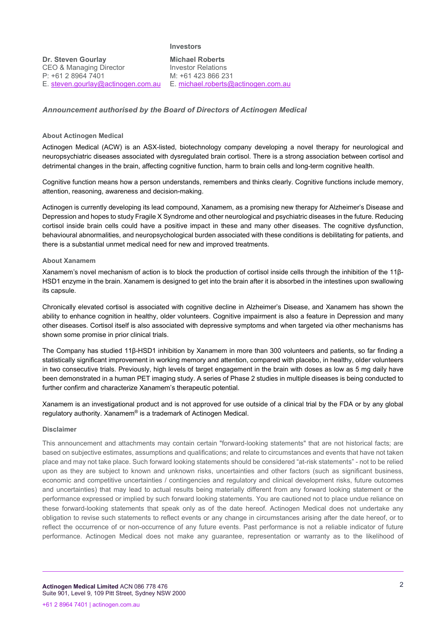## Investors

Dr. Steven Gourlay Michael Roberts CEO & Managing Director **Investor Relations** P: +61 2 8964 7401 M: +61 423 866 231

E. steven.gourlay@actinogen.com.au E. michael.roberts@actinogen.com.au

## Announcement authorised by the Board of Directors of Actinogen Medical

#### About Actinogen Medical

Actinogen Medical (ACW) is an ASX-listed, biotechnology company developing a novel therapy for neurological and neuropsychiatric diseases associated with dysregulated brain cortisol. There is a strong association between cortisol and detrimental changes in the brain, affecting cognitive function, harm to brain cells and long-term cognitive health.

Cognitive function means how a person understands, remembers and thinks clearly. Cognitive functions include memory, attention, reasoning, awareness and decision-making.

Actinogen is currently developing its lead compound, Xanamem, as a promising new therapy for Alzheimer's Disease and Depression and hopes to study Fragile X Syndrome and other neurological and psychiatric diseases in the future. Reducing cortisol inside brain cells could have a positive impact in these and many other diseases. The cognitive dysfunction, behavioural abnormalities, and neuropsychological burden associated with these conditions is debilitating for patients, and there is a substantial unmet medical need for new and improved treatments.

#### About Xanamem

Xanamem's novel mechanism of action is to block the production of cortisol inside cells through the inhibition of the 11β-HSD1 enzyme in the brain. Xanamem is designed to get into the brain after it is absorbed in the intestines upon swallowing its capsule.

Chronically elevated cortisol is associated with cognitive decline in Alzheimer's Disease, and Xanamem has shown the ability to enhance cognition in healthy, older volunteers. Cognitive impairment is also a feature in Depression and many other diseases. Cortisol itself is also associated with depressive symptoms and when targeted via other mechanisms has shown some promise in prior clinical trials.

The Company has studied 11β-HSD1 inhibition by Xanamem in more than 300 volunteers and patients, so far finding a statistically significant improvement in working memory and attention, compared with placebo, in healthy, older volunteers in two consecutive trials. Previously, high levels of target engagement in the brain with doses as low as 5 mg daily have been demonstrated in a human PET imaging study. A series of Phase 2 studies in multiple diseases is being conducted to further confirm and characterize Xanamem's therapeutic potential.

Xanamem is an investigational product and is not approved for use outside of a clinical trial by the FDA or by any global regulatory authority. Xanamem® is a trademark of Actinogen Medical.

#### Disclaimer

This announcement and attachments may contain certain "forward-looking statements" that are not historical facts; are based on subjective estimates, assumptions and qualifications; and relate to circumstances and events that have not taken place and may not take place. Such forward looking statements should be considered "at-risk statements" - not to be relied upon as they are subject to known and unknown risks, uncertainties and other factors (such as significant business, economic and competitive uncertainties / contingencies and regulatory and clinical development risks, future outcomes and uncertainties) that may lead to actual results being materially different from any forward looking statement or the performance expressed or implied by such forward looking statements. You are cautioned not to place undue reliance on these forward-looking statements that speak only as of the date hereof. Actinogen Medical does not undertake any obligation to revise such statements to reflect events or any change in circumstances arising after the date hereof, or to reflect the occurrence of or non-occurrence of any future events. Past performance is not a reliable indicator of future performance. Actinogen Medical does not make any guarantee, representation or warranty as to the likelihood of